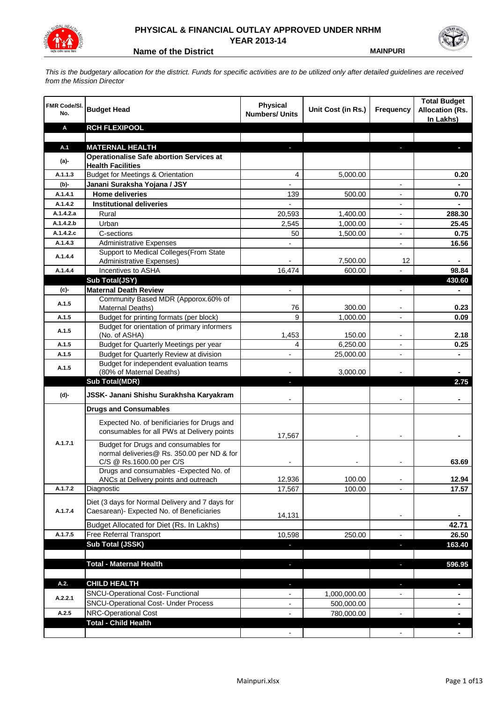

## **PHYSICAL & FINANCIAL OUTLAY APPROVED UNDER NRHM YEAR 2013-14**

**Name of the District MAINPURI** 

*This is the budgetary allocation for the district. Funds for specific activities are to be utilized only after detailed guidelines are received from the Mission Director*

| FMR Code/SI.<br>No. | <b>Budget Head</b>                                                       | <b>Physical</b><br><b>Numbers/ Units</b> | Unit Cost (in Rs.) | Frequency                | <b>Total Budget</b><br><b>Allocation (Rs.</b><br>In Lakhs) |
|---------------------|--------------------------------------------------------------------------|------------------------------------------|--------------------|--------------------------|------------------------------------------------------------|
| Α                   | <b>RCH FLEXIPOOL</b>                                                     |                                          |                    |                          |                                                            |
|                     |                                                                          |                                          |                    |                          |                                                            |
| A.1                 | <b>MATERNAL HEALTH</b>                                                   |                                          |                    |                          |                                                            |
| $(a)$ -             | <b>Operationalise Safe abortion Services at</b>                          |                                          |                    |                          |                                                            |
| A.1.1.3             | <b>Health Facilities</b><br><b>Budget for Meetings &amp; Orientation</b> | 4                                        | 5,000.00           |                          | 0.20                                                       |
| (b)-                | Janani Suraksha Yojana / JSY                                             |                                          |                    |                          |                                                            |
| A.1.4.1             | <b>Home deliveries</b>                                                   | 139                                      | 500.00             | $\overline{a}$           | 0.70                                                       |
| A.1.4.2             | <b>Institutional deliveries</b>                                          |                                          |                    |                          |                                                            |
| A.1.4.2.a           | Rural                                                                    | 20,593                                   | 1,400.00           |                          | 288.30                                                     |
| A.1.4.2.b           | Urban                                                                    | 2,545                                    | 1,000.00           |                          | 25.45                                                      |
| A.1.4.2.c           | C-sections                                                               | 50                                       | 1,500.00           |                          | 0.75                                                       |
| A.1.4.3             | <b>Administrative Expenses</b>                                           |                                          |                    | $\overline{a}$           | 16.56                                                      |
|                     | Support to Medical Colleges (From State                                  |                                          |                    |                          |                                                            |
| A.1.4.4             | <b>Administrative Expenses)</b>                                          |                                          | 7,500.00           | 12                       |                                                            |
| A.1.4.4             | Incentives to ASHA                                                       | 16,474                                   | 600.00             |                          | 98.84                                                      |
|                     | Sub Total(JSY)                                                           |                                          |                    |                          | 430.60                                                     |
| (c)-                | <b>Maternal Death Review</b>                                             | $\overline{\phantom{a}}$                 |                    | $\overline{\phantom{a}}$ | $\blacksquare$                                             |
| A.1.5               | Community Based MDR (Apporox.60% of                                      |                                          |                    |                          |                                                            |
|                     | Maternal Deaths)                                                         | 76                                       | 300.00             | $\blacksquare$           | 0.23                                                       |
| A.1.5               | Budget for printing formats (per block)                                  | 9                                        | 1,000.00           |                          | 0.09                                                       |
| A.1.5               | Budget for orientation of primary informers                              |                                          |                    |                          |                                                            |
|                     | (No. of ASHA)                                                            | 1,453                                    | 150.00             | $\overline{\phantom{a}}$ | 2.18                                                       |
| A.1.5               | Budget for Quarterly Meetings per year                                   | 4                                        | 6,250.00           |                          | 0.25                                                       |
| A.1.5               | Budget for Quarterly Review at division                                  | $\overline{\phantom{a}}$                 | 25,000.00          |                          |                                                            |
| A.1.5               | Budget for independent evaluation teams<br>(80% of Maternal Deaths)      |                                          | 3,000.00           |                          |                                                            |
|                     | <b>Sub Total(MDR)</b>                                                    | L.                                       |                    |                          | 2.75                                                       |
| (d)-                | JSSK- Janani Shishu Surakhsha Karyakram                                  |                                          |                    |                          |                                                            |
|                     |                                                                          |                                          |                    |                          |                                                            |
|                     | <b>Drugs and Consumables</b>                                             |                                          |                    |                          |                                                            |
|                     | Expected No. of benificiaries for Drugs and                              |                                          |                    |                          |                                                            |
|                     | consumables for all PWs at Delivery points                               | 17,567                                   |                    |                          |                                                            |
| A.1.7.1             | Budget for Drugs and consumables for                                     |                                          |                    |                          |                                                            |
|                     | normal deliveries@ Rs. 350.00 per ND & for                               |                                          |                    |                          |                                                            |
|                     | C/S @ Rs.1600.00 per C/S                                                 |                                          |                    |                          | 63.69                                                      |
|                     | Drugs and consumables - Expected No. of                                  |                                          |                    |                          |                                                            |
|                     | ANCs at Delivery points and outreach                                     | 12,936                                   | 100.00             |                          | 12.94                                                      |
| A.1.7.2             | Diagnostic                                                               | 17,567                                   | 100.00             |                          | 17.57                                                      |
|                     | Diet (3 days for Normal Delivery and 7 days for                          |                                          |                    |                          |                                                            |
| A.1.7.4             | Caesarean)- Expected No. of Beneficiaries                                | 14,131                                   |                    | $\overline{\phantom{a}}$ |                                                            |
|                     | Budget Allocated for Diet (Rs. In Lakhs)                                 |                                          |                    |                          | 42.71                                                      |
| A.1.7.5             | Free Referral Transport                                                  | 10,598                                   | 250.00             | ٠                        | 26.50                                                      |
|                     | Sub Total (JSSK)                                                         |                                          |                    | ÷.                       | 163.40                                                     |
|                     |                                                                          |                                          |                    |                          |                                                            |
|                     | <b>Total - Maternal Health</b>                                           | J,                                       |                    | b.                       | 596.95                                                     |
|                     |                                                                          |                                          |                    |                          |                                                            |
| A.2.                | <b>CHILD HEALTH</b>                                                      |                                          |                    | r.                       | L.                                                         |
|                     | SNCU-Operational Cost- Functional                                        |                                          | 1,000,000.00       |                          |                                                            |
| A.2.2.1             | <b>SNCU-Operational Cost- Under Process</b>                              |                                          | 500,000.00         |                          |                                                            |
| A.2.5               | NRC-Operational Cost                                                     |                                          | 780,000.00         |                          |                                                            |
|                     | <b>Total - Child Health</b>                                              |                                          |                    |                          |                                                            |
|                     |                                                                          |                                          |                    |                          |                                                            |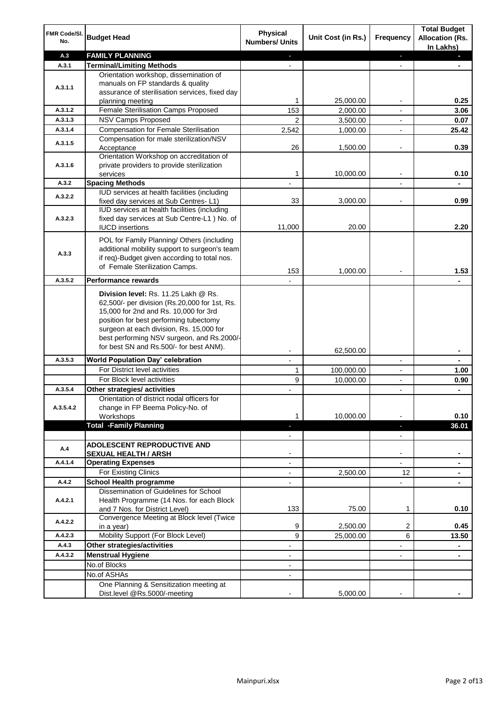| FMR Code/SI.<br>No. | <b>Budget Head</b>                                                                                                                                                       | <b>Physical</b><br><b>Numbers/ Units</b> | Unit Cost (in Rs.) | <b>Frequency</b>                           | <b>Total Budget</b><br><b>Allocation (Rs.</b><br>In Lakhs) |
|---------------------|--------------------------------------------------------------------------------------------------------------------------------------------------------------------------|------------------------------------------|--------------------|--------------------------------------------|------------------------------------------------------------|
| A.3                 | <b>FAMILY PLANNING</b>                                                                                                                                                   | $\sim$                                   |                    | ÷.                                         | a.                                                         |
| A.3.1               | <b>Terminal/Limiting Methods</b>                                                                                                                                         |                                          |                    | $\blacksquare$                             |                                                            |
|                     | Orientation workshop, dissemination of                                                                                                                                   |                                          |                    |                                            |                                                            |
| A.3.1.1             | manuals on FP standards & quality                                                                                                                                        |                                          |                    |                                            |                                                            |
|                     | assurance of sterilisation services, fixed day<br>planning meeting                                                                                                       | 1                                        | 25,000.00          | $\overline{\phantom{a}}$                   | 0.25                                                       |
| A.3.1.2             | Female Sterilisation Camps Proposed                                                                                                                                      | 153                                      | 2,000.00           | $\overline{\phantom{a}}$                   | 3.06                                                       |
| A.3.1.3             | <b>NSV Camps Proposed</b>                                                                                                                                                | $\overline{2}$                           | 3,500.00           | $\overline{\phantom{a}}$                   | 0.07                                                       |
| A.3.1.4             | <b>Compensation for Female Sterilisation</b>                                                                                                                             | 2,542                                    | 1,000.00           |                                            | 25.42                                                      |
|                     | Compensation for male sterilization/NSV                                                                                                                                  |                                          |                    |                                            |                                                            |
| A.3.1.5             | Acceptance                                                                                                                                                               | 26                                       | 1,500.00           |                                            | 0.39                                                       |
|                     | Orientation Workshop on accreditation of                                                                                                                                 |                                          |                    |                                            |                                                            |
| A.3.1.6             | private providers to provide sterilization                                                                                                                               |                                          |                    |                                            |                                                            |
|                     | services                                                                                                                                                                 | 1                                        | 10,000.00          |                                            | 0.10                                                       |
| A.3.2               | <b>Spacing Methods</b>                                                                                                                                                   |                                          |                    |                                            |                                                            |
| A.3.2.2             | IUD services at health facilities (including<br>fixed day services at Sub Centres-L1)                                                                                    | 33                                       | 3,000.00           | $\overline{\phantom{a}}$                   | 0.99                                                       |
|                     | IUD services at health facilities (including                                                                                                                             |                                          |                    |                                            |                                                            |
| A.3.2.3             | fixed day services at Sub Centre-L1 ) No. of                                                                                                                             |                                          |                    |                                            |                                                            |
|                     | <b>IUCD</b> insertions                                                                                                                                                   | 11,000                                   | 20.00              |                                            | 2.20                                                       |
|                     | POL for Family Planning/ Others (including                                                                                                                               |                                          |                    |                                            |                                                            |
|                     | additional mobility support to surgeon's team                                                                                                                            |                                          |                    |                                            |                                                            |
| A.3.3               | if req)-Budget given according to total nos.                                                                                                                             |                                          |                    |                                            |                                                            |
|                     | of Female Sterilization Camps.                                                                                                                                           |                                          |                    |                                            |                                                            |
| A.3.5.2             | <b>Performance rewards</b>                                                                                                                                               | 153                                      | 1,000.00           |                                            | 1.53                                                       |
|                     |                                                                                                                                                                          |                                          |                    |                                            |                                                            |
|                     | Division level: Rs. 11.25 Lakh @ Rs.<br>62,500/- per division (Rs.20,000 for 1st, Rs.<br>15,000 for 2nd and Rs. 10,000 for 3rd<br>position for best performing tubectomy |                                          |                    |                                            |                                                            |
|                     | surgeon at each division, Rs. 15,000 for<br>best performing NSV surgeon, and Rs.2000/-                                                                                   |                                          |                    |                                            |                                                            |
|                     | for best SN and Rs.500/- for best ANM).                                                                                                                                  | $\overline{\phantom{a}}$                 | 62,500.00          |                                            | ٠                                                          |
| A.3.5.3             | <b>World Population Day' celebration</b>                                                                                                                                 | $\overline{\phantom{a}}$                 |                    | $\overline{\phantom{a}}$                   | ۰                                                          |
|                     | For District level activities                                                                                                                                            | 1                                        | 100,000.00         | $\overline{\phantom{a}}$                   | 1.00                                                       |
|                     | For Block level activities                                                                                                                                               | 9                                        | 10,000.00          |                                            | 0.90                                                       |
| A.3.5.4             | Other strategies/ activities                                                                                                                                             |                                          |                    | $\overline{\phantom{a}}$                   | ÷.                                                         |
|                     | Orientation of district nodal officers for                                                                                                                               |                                          |                    |                                            |                                                            |
| A.3.5.4.2           | change in FP Beema Policy-No. of                                                                                                                                         |                                          |                    |                                            |                                                            |
|                     | Workshops<br><b>Total -Family Planning</b>                                                                                                                               | 1                                        | 10,000.00          |                                            | 0.10                                                       |
|                     |                                                                                                                                                                          | ÷.<br>$\overline{\phantom{a}}$           |                    | $\overline{\phantom{a}}$<br>$\blacksquare$ | 36.01                                                      |
|                     | <b>ADOLESCENT REPRODUCTIVE AND</b>                                                                                                                                       |                                          |                    |                                            |                                                            |
| A.4                 | <b>SEXUAL HEALTH / ARSH</b>                                                                                                                                              |                                          |                    | $\blacksquare$                             |                                                            |
| A.4.1.4             | <b>Operating Expenses</b>                                                                                                                                                |                                          |                    |                                            |                                                            |
|                     | For Existing Clinics                                                                                                                                                     |                                          | 2,500.00           | 12                                         |                                                            |
| A.4.2               | <b>School Health programme</b>                                                                                                                                           |                                          |                    |                                            |                                                            |
|                     | Dissemination of Guidelines for School                                                                                                                                   |                                          |                    |                                            |                                                            |
| A.4.2.1             | Health Programme (14 Nos. for each Block                                                                                                                                 |                                          |                    |                                            |                                                            |
|                     | and 7 Nos. for District Level)                                                                                                                                           | 133                                      | 75.00              | 1                                          | 0.10                                                       |
| A.4.2.2             | Convergence Meeting at Block level (Twice<br>in a year)                                                                                                                  | 9                                        | 2,500.00           | 2                                          | 0.45                                                       |
| A.4.2.3             | Mobility Support (For Block Level)                                                                                                                                       | 9                                        | 25,000.00          | 6                                          | 13.50                                                      |
| A.4.3               | Other strategies/activities                                                                                                                                              | $\overline{\phantom{a}}$                 |                    | -                                          | ۰                                                          |
| A.4.3.2             | <b>Menstrual Hygiene</b>                                                                                                                                                 | $\overline{\phantom{a}}$                 |                    | $\blacksquare$                             | $\blacksquare$                                             |
|                     | No.of Blocks                                                                                                                                                             | $\overline{\phantom{a}}$                 |                    |                                            |                                                            |
|                     | No.of ASHAs                                                                                                                                                              |                                          |                    |                                            |                                                            |
|                     | One Planning & Sensitization meeting at                                                                                                                                  |                                          |                    |                                            |                                                            |
|                     | Dist.level @Rs.5000/-meeting                                                                                                                                             |                                          | 5,000.00           |                                            |                                                            |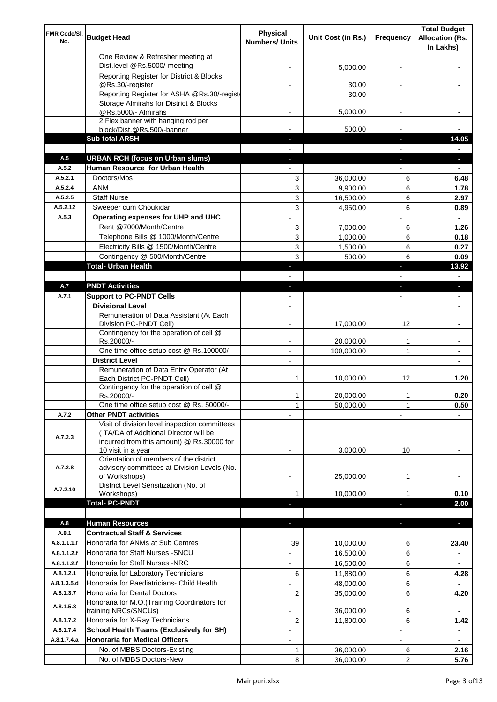| FMR Code/SI.<br>No.  | <b>Budget Head</b>                                                                                                                                        | <b>Physical</b><br><b>Numbers/ Units</b> | Unit Cost (in Rs.)     | Frequency                | <b>Total Budget</b><br><b>Allocation (Rs.</b><br>In Lakhs) |
|----------------------|-----------------------------------------------------------------------------------------------------------------------------------------------------------|------------------------------------------|------------------------|--------------------------|------------------------------------------------------------|
|                      | One Review & Refresher meeting at<br>Dist.level @Rs.5000/-meeting                                                                                         |                                          | 5,000.00               |                          |                                                            |
|                      | Reporting Register for District & Blocks                                                                                                                  |                                          |                        |                          |                                                            |
|                      | @Rs.30/-register                                                                                                                                          |                                          | 30.00                  |                          |                                                            |
|                      | Reporting Register for ASHA @Rs.30/-regist                                                                                                                |                                          | 30.00                  |                          |                                                            |
|                      | Storage Almirahs for District & Blocks<br>@Rs.5000/- Almirahs                                                                                             | $\blacksquare$                           | 5,000.00               | $\overline{\phantom{a}}$ |                                                            |
|                      | 2 Flex banner with hanging rod per                                                                                                                        |                                          |                        |                          |                                                            |
|                      | block/Dist.@Rs.500/-banner                                                                                                                                |                                          | 500.00                 |                          |                                                            |
|                      | <b>Sub-total ARSH</b>                                                                                                                                     |                                          |                        | P.                       | 14.05                                                      |
| A.5                  | <b>URBAN RCH (focus on Urban slums)</b>                                                                                                                   |                                          |                        |                          | a.                                                         |
| A.5.2                | Human Resource for Urban Health                                                                                                                           |                                          |                        |                          |                                                            |
| A.5.2.1              | Doctors/Mos                                                                                                                                               | 3                                        | 36,000.00              | 6                        | 6.48                                                       |
| A.5.2.4              | <b>ANM</b>                                                                                                                                                | 3                                        | 9,900.00               | 6                        | 1.78                                                       |
| A.5.2.5<br>A.5.2.12  | <b>Staff Nurse</b><br>Sweeper cum Choukidar                                                                                                               | 3                                        | 16,500.00              | 6<br>6                   | 2.97                                                       |
| A.5.3                | Operating expenses for UHP and UHC                                                                                                                        | 3                                        | 4,950.00               |                          | 0.89<br>$\blacksquare$                                     |
|                      | Rent @7000/Month/Centre                                                                                                                                   | 3                                        | 7,000.00               | 6                        | 1.26                                                       |
|                      | Telephone Bills @ 1000/Month/Centre                                                                                                                       | 3                                        | 1,000.00               | 6                        | 0.18                                                       |
|                      | Electricity Bills @ 1500/Month/Centre                                                                                                                     | 3                                        | 1,500.00               | 6                        | 0.27                                                       |
|                      | Contingency @ 500/Month/Centre                                                                                                                            | 3                                        | 500.00                 | 6                        | 0.09                                                       |
|                      | <b>Total- Urban Health</b>                                                                                                                                | ٠                                        |                        | F                        | 13.92                                                      |
|                      |                                                                                                                                                           |                                          |                        |                          | ٠                                                          |
| A.7                  | <b>PNDT Activities</b>                                                                                                                                    | ٠                                        |                        | ٠                        | ×.                                                         |
| A.7.1                | <b>Support to PC-PNDT Cells</b>                                                                                                                           | $\overline{\phantom{a}}$                 |                        | $\overline{\phantom{a}}$ | ۰                                                          |
|                      | <b>Divisional Level</b>                                                                                                                                   | $\blacksquare$                           |                        |                          | ۰                                                          |
|                      | Remuneration of Data Assistant (At Each<br>Division PC-PNDT Cell)                                                                                         |                                          | 17,000.00              | 12                       |                                                            |
|                      | Contingency for the operation of cell @<br>Rs.20000/-                                                                                                     |                                          | 20,000.00              | 1                        |                                                            |
|                      | One time office setup cost @ Rs.100000/-                                                                                                                  |                                          | 100,000.00             | 1                        |                                                            |
|                      | <b>District Level</b>                                                                                                                                     | $\blacksquare$                           |                        |                          |                                                            |
|                      | Remuneration of Data Entry Operator (At<br>Each District PC-PNDT Cell)                                                                                    | 1                                        | 10,000.00              | 12                       | 1.20                                                       |
|                      | Contingency for the operation of cell @<br>Rs.20000/-                                                                                                     | 1                                        | 20,000.00              | 1                        | 0.20                                                       |
|                      | One time office setup cost @ Rs. 50000/-                                                                                                                  | $\mathbf{1}$                             | 50,000.00              | 1                        | 0.50                                                       |
| A.7.2                | <b>Other PNDT activities</b>                                                                                                                              |                                          |                        |                          |                                                            |
| A.7.2.3              | Visit of division level inspection committees<br>(TA/DA of Additional Director will be<br>incurred from this amount) @ Rs.30000 for<br>10 visit in a year |                                          | 3,000.00               | 10                       |                                                            |
| A.7.2.8              | Orientation of members of the district<br>advisory committees at Division Levels (No.<br>of Workshops)                                                    | $\overline{\phantom{a}}$                 | 25,000.00              | 1                        |                                                            |
| A.7.2.10             | District Level Sensitization (No. of<br>Workshops)                                                                                                        |                                          | 10,000.00              | 1                        | 0.10                                                       |
|                      | <b>Total- PC-PNDT</b>                                                                                                                                     |                                          |                        |                          | 2.00                                                       |
|                      |                                                                                                                                                           |                                          |                        |                          |                                                            |
| A.8                  | <b>Human Resources</b>                                                                                                                                    |                                          |                        |                          | ÷.                                                         |
| A.8.1<br>A.8.1.1.1.f | <b>Contractual Staff &amp; Services</b><br>Honoraria for ANMs at Sub Centres                                                                              |                                          |                        |                          |                                                            |
| A.8.1.1.2.f          | Honoraria for Staff Nurses - SNCU                                                                                                                         | 39                                       | 10,000.00<br>16,500.00 | 6<br>6                   | 23.40                                                      |
| A.8.1.1.2.f          | Honoraria for Staff Nurses -NRC                                                                                                                           | ÷,                                       | 16,500.00              | 6                        |                                                            |
| A.8.1.2.1            | Honoraria for Laboratory Technicians                                                                                                                      | 6                                        | 11,880.00              | 6                        | 4.28                                                       |
| A.8.1.3.5.d          | Honoraria for Paediatricians- Child Health                                                                                                                |                                          | 48,000.00              | 6                        |                                                            |
| A.8.1.3.7            | Honoraria for Dental Doctors                                                                                                                              | $\overline{2}$                           | 35,000.00              | 6                        | 4.20                                                       |
| A.8.1.5.8            | Honoraria for M.O.(Training Coordinators for<br>training NRCs/SNCUs)                                                                                      |                                          | 36,000.00              | 6                        |                                                            |
| A.8.1.7.2            | Honoraria for X-Ray Technicians                                                                                                                           | 2                                        | 11,800.00              | 6                        | 1.42                                                       |
| A.8.1.7.4            | <b>School Health Teams (Exclusively for SH)</b>                                                                                                           |                                          |                        |                          | ۰                                                          |
| A.8.1.7.4.a          | <b>Honoraria for Medical Officers</b>                                                                                                                     |                                          |                        |                          |                                                            |
|                      | No. of MBBS Doctors-Existing                                                                                                                              | 1                                        | 36,000.00              | 6                        | 2.16                                                       |
|                      | No. of MBBS Doctors-New                                                                                                                                   | 8                                        | 36,000.00              | $\overline{2}$           | 5.76                                                       |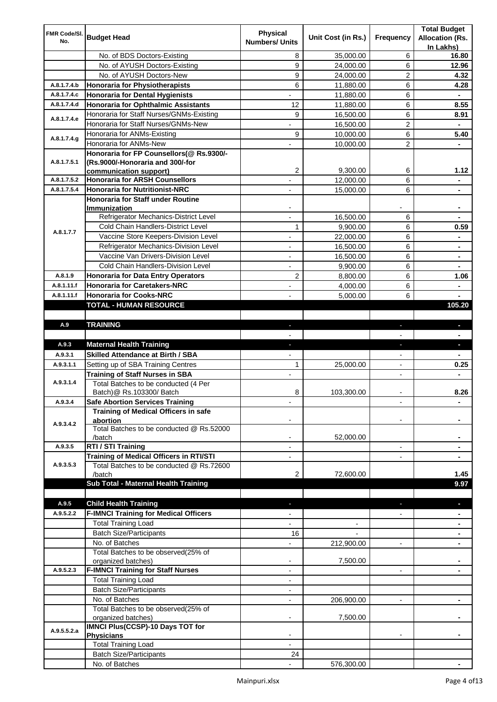| FMR Code/SI. |                                                                     | <b>Physical</b>          |                    |                          | <b>Total Budget</b>    |
|--------------|---------------------------------------------------------------------|--------------------------|--------------------|--------------------------|------------------------|
| No.          | <b>Budget Head</b>                                                  | <b>Numbers/ Units</b>    | Unit Cost (in Rs.) | Frequency                | <b>Allocation (Rs.</b> |
|              |                                                                     |                          |                    |                          | In Lakhs)              |
|              | No. of BDS Doctors-Existing                                         | 8                        | 35,000.00          | 6                        | 16.80                  |
|              | No. of AYUSH Doctors-Existing                                       | 9                        | 24,000.00          | 6                        | 12.96                  |
|              | No. of AYUSH Doctors-New                                            | 9                        | 24,000.00          | 2                        | 4.32                   |
| A.8.1.7.4.b  | <b>Honoraria for Physiotherapists</b>                               | 6                        | 11,880.00          | 6                        | 4.28                   |
| A.8.1.7.4.c  | <b>Honoraria for Dental Hygienists</b>                              |                          | 11,880.00          | 6                        | ۰                      |
| A.8.1.7.4.d  | <b>Honoraria for Ophthalmic Assistants</b>                          | 12                       | 11,880.00          | 6                        | 8.55                   |
| A.8.1.7.4.e  | Honoraria for Staff Nurses/GNMs-Existing                            | 9                        | 16,500.00          | 6                        | 8.91                   |
|              | Honoraria for Staff Nurses/GNMs-New                                 |                          | 16,500.00          | $\overline{c}$           |                        |
| A.8.1.7.4.g  | Honoraria for ANMs-Existing                                         | 9                        | 10,000.00          | 6                        | 5.40                   |
|              | Honoraria for ANMs-New<br>Honoraria for FP Counsellors(@ Rs.9300/-  |                          | 10,000.00          | 2                        |                        |
| A.8.1.7.5.1  | (Rs.9000/-Honoraria and 300/-for                                    |                          |                    |                          |                        |
|              | communication support)                                              | 2                        | 9,300.00           | 6                        | 1.12                   |
| A.8.1.7.5.2  | <b>Honoraria for ARSH Counsellors</b>                               |                          | 12,000.00          | 6                        |                        |
| A.8.1.7.5.4  | <b>Honoraria for Nutritionist-NRC</b>                               |                          | 15,000.00          | 6                        |                        |
|              | Honoraria for Staff under Routine                                   |                          |                    |                          |                        |
|              | Immunization                                                        |                          |                    |                          |                        |
|              | Refrigerator Mechanics-District Level                               |                          | 16,500.00          | 6                        |                        |
| A.8.1.7.7    | Cold Chain Handlers-District Level                                  | 1                        | 9,900.00           | 6                        | 0.59                   |
|              | Vaccine Store Keepers-Division Level                                |                          | 22,000.00          | 6                        |                        |
|              | Refrigerator Mechanics-Division Level                               | $\blacksquare$           | 16,500.00          | 6                        | ۰                      |
|              | Vaccine Van Drivers-Division Level                                  | ÷,                       | 16,500.00          | 6                        | $\blacksquare$         |
|              | Cold Chain Handlers-Division Level                                  | $\overline{\phantom{a}}$ | 9,900.00           | 6                        | ۰                      |
| A.8.1.9      | <b>Honoraria for Data Entry Operators</b>                           | 2                        | 8,800.00           | 6                        | 1.06                   |
| A.8.1.11.f   | <b>Honoraria for Caretakers-NRC</b>                                 | $\blacksquare$           | 4,000.00           | 6                        | ۰                      |
| A.8.1.11.f   | <b>Honoraria for Cooks-NRC</b>                                      |                          | 5,000.00           | 6                        |                        |
|              | TOTAL - HUMAN RESOURCE                                              |                          |                    |                          | 105.20                 |
|              |                                                                     |                          |                    |                          |                        |
| A.9          | <b>TRAINING</b>                                                     | ٠                        |                    | ٠                        | $\blacksquare$         |
|              |                                                                     |                          |                    |                          |                        |
| A.9.3        | <b>Maternal Health Training</b>                                     | ٠                        |                    | ٠                        | ٠                      |
| A.9.3.1      | <b>Skilled Attendance at Birth / SBA</b>                            |                          |                    |                          |                        |
| A.9.3.1.1    | Setting up of SBA Training Centres                                  | 1                        | 25,000.00          | $\overline{\phantom{a}}$ | 0.25                   |
|              | <b>Training of Staff Nurses in SBA</b>                              | $\overline{\phantom{a}}$ |                    | $\overline{\phantom{0}}$ |                        |
| A.9.3.1.4    | Total Batches to be conducted (4 Per                                |                          | 103,300.00         |                          | 8.26                   |
| A.9.3.4      | Batch) @ Rs.103300/ Batch<br><b>Safe Abortion Services Training</b> | 8                        |                    |                          |                        |
|              | Training of Medical Officers in safe                                |                          |                    |                          |                        |
|              | abortion                                                            |                          |                    |                          |                        |
| A.9.3.4.2    | Total Batches to be conducted @ Rs.52000                            |                          |                    |                          |                        |
|              | /batch                                                              |                          | 52,000.00          |                          |                        |
| A.9.3.5      | RTI / STI Training                                                  |                          |                    | $\overline{\phantom{0}}$ |                        |
|              | Training of Medical Officers in RTI/STI                             |                          |                    |                          |                        |
| A.9.3.5.3    | Total Batches to be conducted @ Rs.72600                            |                          |                    |                          |                        |
|              | /batch                                                              | 2                        | 72,600.00          |                          | 1.45                   |
|              | Sub Total - Maternal Health Training                                |                          |                    |                          | 9.97                   |
|              |                                                                     |                          |                    |                          |                        |
| A.9.5        | <b>Child Health Training</b>                                        |                          |                    |                          |                        |
| A.9.5.2.2    | <b>F-IMNCI Training for Medical Officers</b>                        |                          |                    |                          |                        |
|              | <b>Total Training Load</b>                                          |                          |                    |                          |                        |
|              | <b>Batch Size/Participants</b>                                      | 16                       |                    |                          |                        |
|              | No. of Batches                                                      |                          | 212,900.00         | $\overline{a}$           |                        |
|              | Total Batches to be observed(25% of<br>organized batches)           | $\overline{\phantom{a}}$ | 7,500.00           |                          |                        |
| A.9.5.2.3    | <b>F-IMNCI Training for Staff Nurses</b>                            | $\overline{\phantom{a}}$ |                    | $\overline{\phantom{a}}$ | ۰                      |
|              | <b>Total Training Load</b>                                          | $\overline{\phantom{a}}$ |                    |                          |                        |
|              | <b>Batch Size/Participants</b>                                      |                          |                    |                          |                        |
|              | No. of Batches                                                      | $\overline{\phantom{a}}$ | 206,900.00         | $\overline{\phantom{a}}$ | ۰                      |
|              | Total Batches to be observed(25% of                                 |                          |                    |                          |                        |
|              | organized batches)                                                  |                          | 7,500.00           |                          |                        |
| A.9.5.5.2.a  | IMNCI Plus(CCSP)-10 Days TOT for                                    |                          |                    |                          |                        |
|              | <b>Physicians</b>                                                   |                          |                    |                          |                        |
|              |                                                                     |                          |                    |                          |                        |
|              | <b>Total Training Load</b>                                          |                          |                    |                          |                        |
|              | <b>Batch Size/Participants</b><br>No. of Batches                    | 24                       |                    |                          |                        |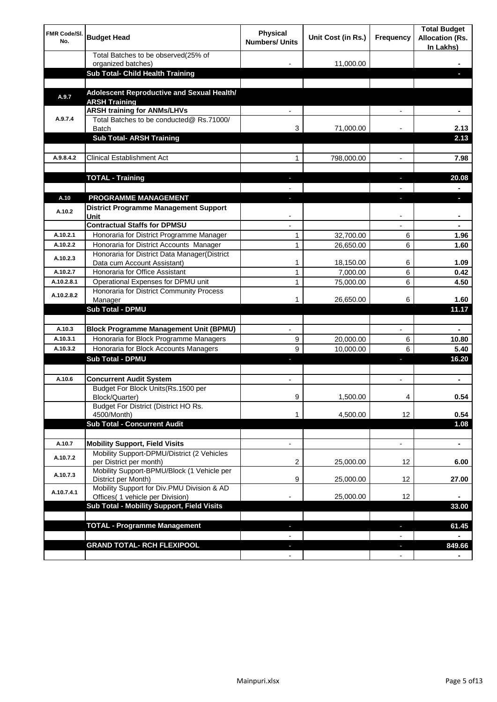| <b>FMR Code/SI.</b><br>No. | <b>Budget Head</b>                                                             | Physical<br><b>Numbers/ Units</b> | Unit Cost (in Rs.) | Frequency                | <b>Total Budget</b><br><b>Allocation (Rs.</b><br>In Lakhs) |
|----------------------------|--------------------------------------------------------------------------------|-----------------------------------|--------------------|--------------------------|------------------------------------------------------------|
|                            | Total Batches to be observed(25% of                                            |                                   |                    |                          |                                                            |
|                            | organized batches)<br>Sub Total- Child Health Training                         |                                   | 11,000.00          |                          |                                                            |
|                            |                                                                                |                                   |                    |                          |                                                            |
| A.9.7                      | Adolescent Reproductive and Sexual Health/<br><b>ARSH Training</b>             |                                   |                    |                          |                                                            |
|                            | <b>ARSH training for ANMs/LHVs</b>                                             |                                   |                    |                          |                                                            |
| A.9.7.4                    | Total Batches to be conducted@ Rs.71000/<br><b>Batch</b>                       | 3                                 | 71,000.00          |                          | 2.13                                                       |
|                            | <b>Sub Total- ARSH Training</b>                                                |                                   |                    |                          | 2.13                                                       |
|                            |                                                                                |                                   |                    |                          |                                                            |
| A.9.8.4.2                  | <b>Clinical Establishment Act</b>                                              | 1                                 | 798,000.00         |                          | 7.98                                                       |
|                            |                                                                                |                                   |                    |                          |                                                            |
|                            | <b>TOTAL - Training</b>                                                        |                                   |                    |                          | 20.08                                                      |
|                            |                                                                                |                                   |                    |                          |                                                            |
| A.10                       | <b>PROGRAMME MANAGEMENT</b>                                                    |                                   |                    |                          |                                                            |
| A.10.2                     | District Programme Management Support                                          |                                   |                    |                          |                                                            |
|                            | Unit<br><b>Contractual Staffs for DPMSU</b>                                    |                                   |                    |                          |                                                            |
| A.10.2.1                   | Honoraria for District Programme Manager                                       | 1                                 | 32,700.00          | 6                        | 1.96                                                       |
| A.10.2.2                   | Honoraria for District Accounts Manager                                        | 1                                 | 26,650.00          | 6                        | 1.60                                                       |
|                            | Honoraria for District Data Manager(District                                   |                                   |                    |                          |                                                            |
| A.10.2.3                   | Data cum Account Assistant)                                                    | 1                                 | 18,150.00          | 6                        | 1.09                                                       |
| A.10.2.7                   | Honoraria for Office Assistant                                                 | 1                                 | 7,000.00           | 6                        | 0.42                                                       |
| A.10.2.8.1                 | Operational Expenses for DPMU unit                                             | 1                                 | 75,000.00          | 6                        | 4.50                                                       |
| A.10.2.8.2                 | Honoraria for District Community Process<br>Manager                            | 1                                 | 26,650.00          | 6                        | 1.60                                                       |
|                            | Sub Total - DPMU                                                               |                                   |                    |                          | 11.17                                                      |
|                            |                                                                                |                                   |                    |                          |                                                            |
| A.10.3                     | <b>Block Programme Management Unit (BPMU)</b>                                  | $\blacksquare$                    |                    | $\overline{\phantom{a}}$ | $\blacksquare$                                             |
| A.10.3.1                   | Honoraria for Block Programme Managers                                         | 9                                 | 20,000.00          | 6                        | 10.80                                                      |
| A.10.3.2                   | Honoraria for Block Accounts Managers                                          | 9                                 | 10,000.00          | 6                        | 5.40                                                       |
|                            | <b>Sub Total - DPMU</b>                                                        | J,                                |                    | J,                       | 16.20                                                      |
|                            |                                                                                |                                   |                    |                          |                                                            |
| A.10.6                     | <b>Concurrent Audit System</b>                                                 | $\blacksquare$                    |                    | $\blacksquare$           | ۰                                                          |
|                            | Budget For Block Units(Rs. 1500 per<br>Block/Quarter)                          | 9                                 | 1,500.00           | 4                        | 0.54                                                       |
|                            | Budget For District (District HO Rs.                                           |                                   |                    |                          |                                                            |
|                            | 4500/Month)                                                                    | 1                                 | 4,500.00           | 12                       | 0.54                                                       |
|                            | <b>Sub Total - Concurrent Audit</b>                                            |                                   |                    |                          | 1.08                                                       |
| A.10.7                     | <b>Mobility Support, Field Visits</b>                                          | $\overline{\phantom{a}}$          |                    | $\overline{\phantom{a}}$ | ۰                                                          |
| A.10.7.2                   | Mobility Support-DPMU/District (2 Vehicles<br>per District per month)          | 2                                 | 25,000.00          | 12                       | 6.00                                                       |
|                            | Mobility Support-BPMU/Block (1 Vehicle per                                     |                                   |                    |                          |                                                            |
| A.10.7.3                   | District per Month)                                                            | 9                                 | 25,000.00          | 12                       | 27.00                                                      |
| A.10.7.4.1                 | Mobility Support for Div.PMU Division & AD<br>Offices( 1 vehicle per Division) |                                   | 25,000.00          | 12                       |                                                            |
|                            | Sub Total - Mobility Support, Field Visits                                     |                                   |                    |                          | 33.00                                                      |
|                            |                                                                                |                                   |                    |                          |                                                            |
|                            | <b>TOTAL - Programme Management</b>                                            |                                   |                    | r.                       | 61.45                                                      |
|                            |                                                                                |                                   |                    |                          |                                                            |
|                            | <b>GRAND TOTAL- RCH FLEXIPOOL</b>                                              |                                   |                    | J,                       | 849.66                                                     |
|                            |                                                                                |                                   |                    | $\overline{\phantom{a}}$ |                                                            |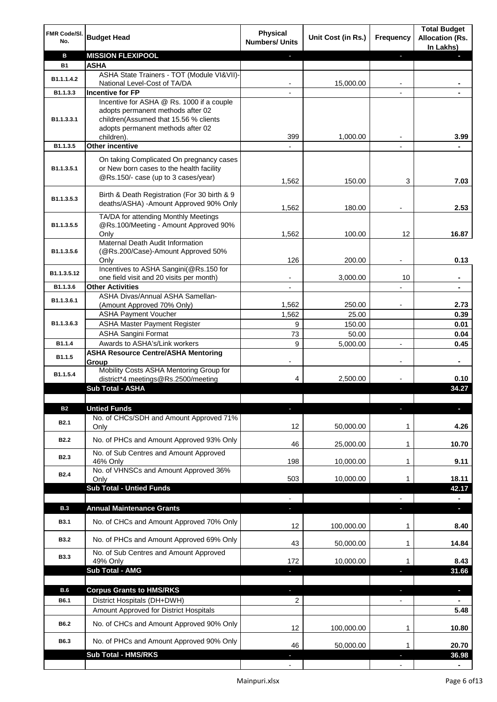| FMR Code/SI.<br>No.     | <b>Budget Head</b>                                                                                                                                           | <b>Physical</b><br><b>Numbers/ Units</b> | Unit Cost (in Rs.) | Frequency      | <b>Total Budget</b><br><b>Allocation (Rs.</b><br>In Lakhs) |
|-------------------------|--------------------------------------------------------------------------------------------------------------------------------------------------------------|------------------------------------------|--------------------|----------------|------------------------------------------------------------|
| В                       | <b>MISSION FLEXIPOOL</b>                                                                                                                                     |                                          |                    | J              |                                                            |
| <b>B1</b>               | <b>ASHA</b>                                                                                                                                                  |                                          |                    |                |                                                            |
| B <sub>1.1</sub> .1.4.2 | ASHA State Trainers - TOT (Module VI&VII)-                                                                                                                   |                                          |                    |                |                                                            |
|                         | National Level-Cost of TA/DA                                                                                                                                 |                                          | 15,000.00          |                |                                                            |
| B1.1.3.3                | <b>Incentive for FP</b>                                                                                                                                      |                                          |                    |                |                                                            |
| B1.1.3.3.1              | Incentive for ASHA @ Rs. 1000 if a couple<br>adopts permanent methods after 02<br>children(Assumed that 15.56 % clients<br>adopts permanent methods after 02 | 399                                      | 1,000.00           |                | 3.99                                                       |
| B1.1.3.5                | children).<br><b>Other incentive</b>                                                                                                                         | $\overline{\phantom{a}}$                 |                    | $\overline{a}$ |                                                            |
|                         |                                                                                                                                                              |                                          |                    |                |                                                            |
| B1.1.3.5.1              | On taking Complicated On pregnancy cases<br>or New born cases to the health facility<br>@Rs.150/- case (up to 3 cases/year)                                  | 1,562                                    | 150.00             | 3              | 7.03                                                       |
| B1.1.3.5.3              | Birth & Death Registration (For 30 birth & 9<br>deaths/ASHA) -Amount Approved 90% Only                                                                       | 1,562                                    | 180.00             |                | 2.53                                                       |
| B1.1.3.5.5              | TA/DA for attending Monthly Meetings<br>@Rs.100/Meeting - Amount Approved 90%                                                                                |                                          |                    |                |                                                            |
|                         | Only                                                                                                                                                         | 1,562                                    | 100.00             | 12             | 16.87                                                      |
| B1.1.3.5.6              | Maternal Death Audit Information<br>(@Rs.200/Case)-Amount Approved 50%                                                                                       |                                          |                    |                |                                                            |
|                         | Only<br>Incentives to ASHA Sangini(@Rs.150 for                                                                                                               | 126                                      | 200.00             |                | 0.13                                                       |
| B1.1.3.5.12             | one field visit and 20 visits per month)                                                                                                                     |                                          | 3,000.00           | 10             | $\blacksquare$                                             |
| B1.1.3.6                | <b>Other Activities</b>                                                                                                                                      | $\overline{\phantom{a}}$                 |                    |                | $\blacksquare$                                             |
| B1.1.3.6.1              | ASHA Divas/Annual ASHA Samellan-                                                                                                                             |                                          |                    |                |                                                            |
|                         | (Amount Approved 70% Only)                                                                                                                                   | 1,562                                    | 250.00             |                | 2.73                                                       |
|                         | <b>ASHA Payment Voucher</b>                                                                                                                                  | 1,562                                    | 25.00              |                | 0.39                                                       |
| B1.1.3.6.3              | <b>ASHA Master Payment Register</b>                                                                                                                          | 9                                        | 150.00             |                | 0.01                                                       |
|                         | <b>ASHA Sangini Format</b>                                                                                                                                   | 73                                       | 50.00              |                | 0.04                                                       |
| B1.1.4                  | Awards to ASHA's/Link workers                                                                                                                                | 9                                        | 5,000.00           |                | 0.45                                                       |
| B1.1.5                  | <b>ASHA Resource Centre/ASHA Mentoring</b><br>Group<br>Mobility Costs ASHA Mentoring Group for                                                               |                                          |                    | $\overline{a}$ | ٠                                                          |
| B1.1.5.4                | district*4 meetings@Rs.2500/meeting                                                                                                                          | 4                                        | 2,500.00           |                | 0.10                                                       |
|                         | Sub Total - ASHA                                                                                                                                             |                                          |                    |                | 34.27                                                      |
|                         |                                                                                                                                                              |                                          |                    |                |                                                            |
| <b>B2</b>               | <b>Untied Funds</b>                                                                                                                                          |                                          |                    |                |                                                            |
| <b>B2.1</b>             | No. of CHCs/SDH and Amount Approved 71%<br>Only                                                                                                              | 12                                       | 50,000.00          | 1              | 4.26                                                       |
| <b>B2.2</b>             | No. of PHCs and Amount Approved 93% Only                                                                                                                     | 46                                       | 25,000.00          | 1              | 10.70                                                      |
| B <sub>2.3</sub>        | No. of Sub Centres and Amount Approved                                                                                                                       |                                          |                    |                |                                                            |
|                         | 46% Only<br>No. of VHNSCs and Amount Approved 36%                                                                                                            | 198                                      | 10,000.00          | 1              | 9.11                                                       |
| B <sub>2.4</sub>        | Only                                                                                                                                                         | 503                                      | 10,000.00          | 1              | 18.11                                                      |
|                         | <b>Sub Total - Untied Funds</b>                                                                                                                              |                                          |                    |                | 42.17                                                      |
|                         |                                                                                                                                                              |                                          |                    |                |                                                            |
| <b>B.3</b>              | <b>Annual Maintenance Grants</b>                                                                                                                             | a.                                       |                    |                | a,                                                         |
| <b>B3.1</b>             | No. of CHCs and Amount Approved 70% Only                                                                                                                     | 12                                       | 100,000.00         | 1              | 8.40                                                       |
| <b>B3.2</b>             | No. of PHCs and Amount Approved 69% Only                                                                                                                     | 43                                       | 50,000.00          | 1              | 14.84                                                      |
| <b>B3.3</b>             | No. of Sub Centres and Amount Approved<br>49% Only                                                                                                           | 172                                      | 10,000.00          | 1              | 8.43                                                       |
|                         | Sub Total - AMG                                                                                                                                              | J,                                       |                    |                | 31.66                                                      |
|                         |                                                                                                                                                              |                                          |                    |                |                                                            |
| <b>B.6</b>              | <b>Corpus Grants to HMS/RKS</b>                                                                                                                              | $\blacksquare$                           |                    | T              | ٠                                                          |
| B6.1                    | District Hospitals (DH+DWH)                                                                                                                                  | 2                                        |                    |                |                                                            |
|                         | Amount Approved for District Hospitals                                                                                                                       |                                          |                    |                | 5.48                                                       |
| B6.2                    | No. of CHCs and Amount Approved 90% Only                                                                                                                     | 12                                       | 100,000.00         | $\mathbf 1$    | 10.80                                                      |
| B6.3                    | No. of PHCs and Amount Approved 90% Only                                                                                                                     | 46                                       | 50,000.00          | 1              | 20.70                                                      |
|                         | <b>Sub Total - HMS/RKS</b>                                                                                                                                   |                                          |                    |                | 36.98                                                      |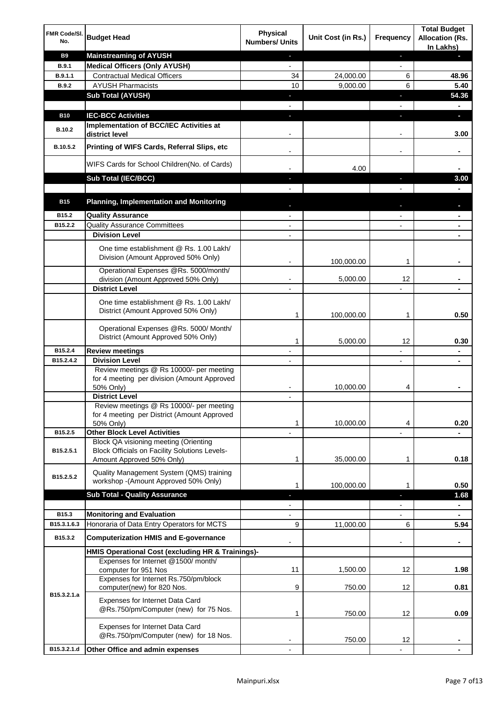| FMR Code/SI.<br>No. | <b>Budget Head</b>                                                                                   | <b>Physical</b><br><b>Numbers/ Units</b> | Unit Cost (in Rs.) | Frequency                | <b>Total Budget</b><br><b>Allocation (Rs.</b><br>In Lakhs) |
|---------------------|------------------------------------------------------------------------------------------------------|------------------------------------------|--------------------|--------------------------|------------------------------------------------------------|
| <b>B9</b>           | <b>Mainstreaming of AYUSH</b>                                                                        | J,                                       |                    | ٠                        | ٠                                                          |
| <b>B.9.1</b>        | <b>Medical Officers (Only AYUSH)</b>                                                                 | $\overline{\phantom{a}}$                 |                    | $\overline{\phantom{a}}$ |                                                            |
| B.9.1.1             | <b>Contractual Medical Officers</b>                                                                  | 34                                       | 24,000.00          | 6                        | 48.96                                                      |
| <b>B.9.2</b>        | <b>AYUSH Pharmacists</b>                                                                             | 10                                       | 9,000.00           | 6                        | 5.40                                                       |
|                     | <b>Sub Total (AYUSH)</b>                                                                             | ٠                                        |                    | J,                       | 54.36                                                      |
|                     | <b>IEC-BCC Activities</b>                                                                            |                                          |                    |                          |                                                            |
| <b>B10</b>          | Implementation of BCC/IEC Activities at                                                              | J,                                       |                    | J,                       | ٠                                                          |
| <b>B.10.2</b>       | district level                                                                                       |                                          |                    |                          | 3.00                                                       |
| B.10.5.2            | Printing of WIFS Cards, Referral Slips, etc                                                          |                                          |                    | $\overline{\phantom{a}}$ | ٠                                                          |
|                     | WIFS Cards for School Children(No. of Cards)                                                         |                                          | 4.00               |                          |                                                            |
|                     | Sub Total (IEC/BCC)                                                                                  |                                          |                    |                          | 3.00                                                       |
|                     |                                                                                                      |                                          |                    |                          |                                                            |
| <b>B15</b>          | <b>Planning, Implementation and Monitoring</b>                                                       |                                          |                    |                          |                                                            |
| B15.2               | <b>Quality Assurance</b>                                                                             |                                          |                    |                          | ۰                                                          |
| B15.2.2             | <b>Quality Assurance Committees</b>                                                                  |                                          |                    |                          | ۰                                                          |
|                     | <b>Division Level</b><br>One time establishment @ Rs. 1.00 Lakh/                                     |                                          |                    |                          |                                                            |
|                     | Division (Amount Approved 50% Only)                                                                  |                                          | 100,000.00         | 1                        |                                                            |
|                     | Operational Expenses @Rs. 5000/month/                                                                |                                          |                    |                          |                                                            |
|                     | division (Amount Approved 50% Only)<br><b>District Level</b>                                         |                                          | 5,000.00           | 12                       |                                                            |
|                     |                                                                                                      |                                          |                    |                          |                                                            |
|                     | One time establishment @ Rs. 1.00 Lakh/<br>District (Amount Approved 50% Only)                       | 1                                        | 100,000.00         | 1                        | 0.50                                                       |
|                     |                                                                                                      |                                          |                    |                          |                                                            |
|                     | Operational Expenses @Rs. 5000/ Month/<br>District (Amount Approved 50% Only)                        | 1                                        | 5,000.00           | 12                       | 0.30                                                       |
| B15.2.4             | <b>Review meetings</b>                                                                               | $\overline{a}$                           |                    | -                        | ۰                                                          |
| B15.2.4.2           | <b>Division Level</b>                                                                                |                                          |                    | $\overline{\phantom{a}}$ | ٠                                                          |
|                     | Review meetings @ Rs 10000/- per meeting<br>for 4 meeting per division (Amount Approved<br>50% Only) |                                          | 10,000.00          | 4                        |                                                            |
|                     | <b>District Level</b>                                                                                |                                          |                    |                          |                                                            |
|                     | Review meetings @ Rs 10000/- per meeting                                                             |                                          |                    |                          |                                                            |
|                     | for 4 meeting per District (Amount Approved<br>50% Only)                                             | 1                                        | 10,000.00          | 4                        | 0.20                                                       |
| B15.2.5             | <b>Other Block Level Activities</b>                                                                  |                                          |                    |                          |                                                            |
| B15.2.5.1           | Block QA visioning meeting (Orienting<br><b>Block Officials on Facility Solutions Levels-</b>        |                                          |                    |                          |                                                            |
|                     | Amount Approved 50% Only)                                                                            | 1                                        | 35,000.00          | 1                        | 0.18                                                       |
| B15.2.5.2           | Quality Management System (QMS) training<br>workshop - (Amount Approved 50% Only)                    | 1                                        | 100,000.00         | 1                        | 0.50                                                       |
|                     | <b>Sub Total - Quality Assurance</b>                                                                 |                                          |                    | r                        | 1.68                                                       |
|                     |                                                                                                      |                                          |                    |                          | $\blacksquare$                                             |
| B15.3               | <b>Monitoring and Evaluation</b>                                                                     |                                          |                    |                          |                                                            |
| B15.3.1.6.3         | Honoraria of Data Entry Operators for MCTS                                                           | 9                                        | 11,000.00          | 6                        | 5.94                                                       |
| B15.3.2             | <b>Computerization HMIS and E-governance</b>                                                         |                                          |                    |                          |                                                            |
|                     | HMIS Operational Cost (excluding HR & Trainings)-                                                    |                                          |                    |                          |                                                            |
|                     | Expenses for Internet @1500/month/                                                                   | 11                                       |                    | 12                       | 1.98                                                       |
|                     | computer for 951 Nos<br>Expenses for Internet Rs.750/pm/block                                        |                                          | 1,500.00           |                          |                                                            |
| B15.3.2.1.a         | computer(new) for 820 Nos.                                                                           | 9                                        | 750.00             | 12                       | 0.81                                                       |
|                     | Expenses for Internet Data Card<br>@Rs.750/pm/Computer (new) for 75 Nos.                             | 1                                        | 750.00             | 12                       | 0.09                                                       |
|                     | Expenses for Internet Data Card<br>@Rs.750/pm/Computer (new) for 18 Nos.                             |                                          | 750.00             | 12                       |                                                            |
| B15.3.2.1.d         | Other Office and admin expenses                                                                      |                                          |                    |                          |                                                            |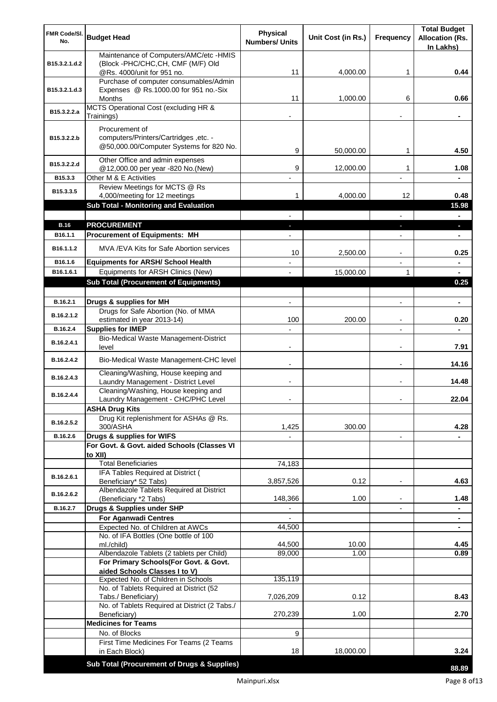| FMR Code/SI.<br>No.   | <b>Budget Head</b>                                                             | <b>Physical</b><br><b>Numbers/ Units</b> | Unit Cost (in Rs.) | Frequency                | <b>Total Budget</b><br><b>Allocation (Rs.</b> |
|-----------------------|--------------------------------------------------------------------------------|------------------------------------------|--------------------|--------------------------|-----------------------------------------------|
|                       |                                                                                |                                          |                    |                          | In Lakhs)                                     |
| B15.3.2.1.d.2         | Maintenance of Computers/AMC/etc -HMIS<br>(Block -PHC/CHC, CH, CMF (M/F) Old   |                                          |                    |                          |                                               |
|                       | @Rs. 4000/unit for 951 no.                                                     | 11                                       | 4,000.00           | 1                        | 0.44                                          |
|                       | Purchase of computer consumables/Admin                                         |                                          |                    |                          |                                               |
| B15.3.2.1.d.3         | Expenses @ Rs.1000.00 for 951 no.-Six                                          | 11                                       | 1,000.00           | 6                        | 0.66                                          |
|                       | Months<br>MCTS Operational Cost (excluding HR &                                |                                          |                    |                          |                                               |
| B15.3.2.2.a           | Trainings)                                                                     |                                          |                    |                          |                                               |
|                       | Procurement of                                                                 |                                          |                    |                          |                                               |
| B15.3.2.2.b           | computers/Printers/Cartridges, etc. -                                          |                                          |                    |                          |                                               |
|                       | @50,000.00/Computer Systems for 820 No.                                        | 9                                        | 50,000.00          | 1                        | 4.50                                          |
| B15.3.2.2.d           | Other Office and admin expenses                                                |                                          |                    |                          |                                               |
|                       | @12,000.00 per year -820 No.(New)                                              | 9                                        | 12,000.00          | 1                        | 1.08                                          |
| B15.3.3               | Other M & E Activities<br>Review Meetings for MCTS @ Rs                        |                                          |                    |                          |                                               |
| B15.3.3.5             | 4,000/meeting for 12 meetings                                                  | 1                                        | 4,000.00           | 12                       | 0.48                                          |
|                       | Sub Total - Monitoring and Evaluation                                          |                                          |                    |                          | 15.98                                         |
|                       |                                                                                |                                          |                    |                          | $\blacksquare$                                |
| <b>B.16</b>           | <b>PROCUREMENT</b>                                                             |                                          |                    |                          | ×.                                            |
| B <sub>16.1.1</sub>   | <b>Procurement of Equipments: MH</b>                                           |                                          |                    |                          | ٠                                             |
| B <sub>16.1.1.2</sub> | MVA/EVA Kits for Safe Abortion services                                        | 10                                       | 2,500.00           |                          | 0.25                                          |
| B16.1.6               | <b>Equipments for ARSH/ School Health</b>                                      |                                          |                    |                          | $\blacksquare$                                |
| B16.1.6.1             | Equipments for ARSH Clinics (New)                                              |                                          | 15,000.00          | 1                        | $\blacksquare$                                |
|                       | <b>Sub Total (Procurement of Equipments)</b>                                   |                                          |                    |                          | 0.25                                          |
|                       |                                                                                |                                          |                    |                          |                                               |
| B.16.2.1              | Drugs & supplies for MH                                                        | $\blacksquare$                           |                    | $\blacksquare$           | $\blacksquare$                                |
| B.16.2.1.2            | Drugs for Safe Abortion (No. of MMA<br>estimated in year 2013-14)              | 100                                      | 200.00             |                          | 0.20                                          |
| B.16.2.4              | <b>Supplies for IMEP</b>                                                       |                                          |                    |                          |                                               |
| B.16.2.4.1            | Bio-Medical Waste Management-District                                          |                                          |                    |                          |                                               |
|                       | level                                                                          | $\overline{\phantom{0}}$                 |                    | $\blacksquare$           | 7.91                                          |
| B.16.2.4.2            | Bio-Medical Waste Management-CHC level                                         |                                          |                    | $\blacksquare$           | 14.16                                         |
| B.16.2.4.3            | Cleaning/Washing, House keeping and                                            |                                          |                    |                          |                                               |
|                       | Laundry Management - District Level                                            |                                          |                    | $\blacksquare$           | 14.48                                         |
| B.16.2.4.4            | Cleaning/Washing, House keeping and<br>Laundry Management - CHC/PHC Level      |                                          |                    |                          | 22.04                                         |
|                       | <b>ASHA Drug Kits</b>                                                          |                                          |                    |                          |                                               |
|                       | Drug Kit replenishment for ASHAs @ Rs.                                         |                                          |                    |                          |                                               |
| B.16.2.5.2            | 300/ASHA                                                                       | 1,425                                    | 300.00             |                          | 4.28                                          |
| B.16.2.6              | Drugs & supplies for WIFS                                                      |                                          |                    | $\overline{\phantom{a}}$ |                                               |
|                       | For Govt. & Govt. aided Schools (Classes VI<br>to XII)                         |                                          |                    |                          |                                               |
|                       | <b>Total Beneficiaries</b>                                                     | 74,183                                   |                    |                          |                                               |
| B.16.2.6.1            | IFA Tables Required at District (                                              |                                          |                    |                          |                                               |
|                       | Beneficiary* 52 Tabs)                                                          | 3,857,526                                | 0.12               | $\overline{a}$           | 4.63                                          |
| B.16.2.6.2            | Albendazole Tablets Required at District<br>(Beneficiary *2 Tabs)              | 148,366                                  | 1.00               |                          | 1.48                                          |
| B.16.2.7              | Drugs & Supplies under SHP                                                     |                                          |                    |                          |                                               |
|                       | <b>For Aganwadi Centres</b>                                                    |                                          |                    |                          |                                               |
|                       | Expected No. of Children at AWCs                                               | 44,500                                   |                    |                          | ٠                                             |
|                       | No. of IFA Bottles (One bottle of 100<br>ml./child)                            | 44,500                                   | 10.00              |                          | 4.45                                          |
|                       | Albendazole Tablets (2 tablets per Child)                                      | 89,000                                   | 1.00               |                          | 0.89                                          |
|                       | For Primary Schools(For Govt. & Govt.                                          |                                          |                    |                          |                                               |
|                       | aided Schools Classes I to V)                                                  |                                          |                    |                          |                                               |
|                       | Expected No. of Children in Schools<br>No. of Tablets Required at District (52 | 135,119                                  |                    |                          |                                               |
|                       | Tabs./ Beneficiary)                                                            | 7,026,209                                | 0.12               |                          | 8.43                                          |
|                       | No. of Tablets Required at District (2 Tabs./                                  |                                          |                    |                          |                                               |
|                       | Beneficiary)<br><b>Medicines for Teams</b>                                     | 270,239                                  | 1.00               |                          | 2.70                                          |
|                       | No. of Blocks                                                                  | 9                                        |                    |                          |                                               |
|                       | First Time Medicines For Teams (2 Teams                                        |                                          |                    |                          |                                               |
|                       | in Each Block)                                                                 | 18                                       | 18,000.00          |                          | 3.24                                          |
|                       | Sub Total (Procurement of Drugs & Supplies)                                    |                                          |                    |                          | 88.89                                         |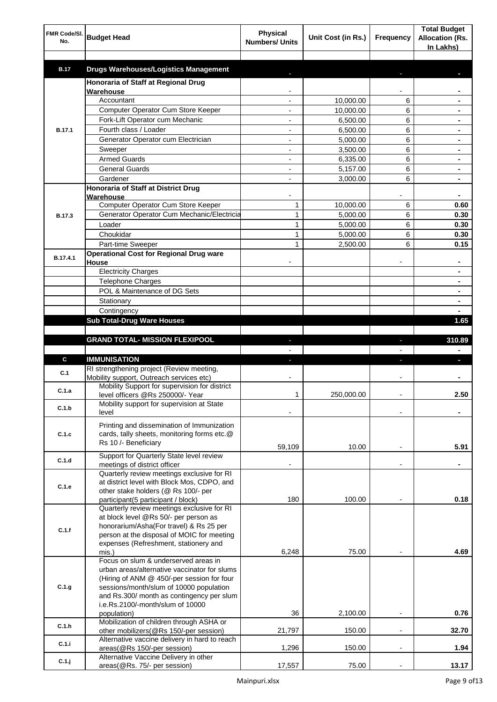| FMR Code/SI.<br>No. | <b>Budget Head</b>                                                                         | <b>Physical</b><br><b>Numbers/ Units</b> | Unit Cost (in Rs.) | Frequency                | <b>Total Budget</b><br><b>Allocation (Rs.</b><br>In Lakhs) |
|---------------------|--------------------------------------------------------------------------------------------|------------------------------------------|--------------------|--------------------------|------------------------------------------------------------|
| <b>B.17</b>         | <b>Drugs Warehouses/Logistics Management</b>                                               |                                          |                    |                          |                                                            |
|                     | Honoraria of Staff at Regional Drug                                                        |                                          |                    |                          |                                                            |
|                     | Warehouse                                                                                  |                                          |                    |                          |                                                            |
|                     | Accountant                                                                                 |                                          | 10,000.00          | 6                        |                                                            |
|                     | Computer Operator Cum Store Keeper                                                         |                                          | 10,000.00          | 6                        |                                                            |
|                     | Fork-Lift Operator cum Mechanic                                                            |                                          | 6,500.00           | 6                        |                                                            |
| <b>B.17.1</b>       | Fourth class / Loader                                                                      |                                          | 6,500.00           | 6                        |                                                            |
|                     | Generator Operator cum Electrician                                                         |                                          | 5,000.00           | 6                        |                                                            |
|                     | Sweeper                                                                                    |                                          | 3,500.00           | 6                        |                                                            |
|                     | <b>Armed Guards</b>                                                                        |                                          | 6,335.00           | 6                        |                                                            |
|                     | <b>General Guards</b>                                                                      |                                          | 5,157.00           | 6                        |                                                            |
|                     | Gardener                                                                                   |                                          | 3,000.00           | 6                        |                                                            |
|                     | Honoraria of Staff at District Drug<br>Warehouse                                           |                                          |                    |                          |                                                            |
|                     | Computer Operator Cum Store Keeper                                                         | 1                                        | 10,000.00          | 6                        | 0.60                                                       |
| <b>B.17.3</b>       | Generator Operator Cum Mechanic/Electricia                                                 | $\mathbf{1}$                             | 5,000.00           | 6                        | 0.30                                                       |
|                     | Loader                                                                                     | 1                                        | 5,000.00           | 6                        | 0.30                                                       |
|                     | Choukidar                                                                                  | 1                                        | 5,000.00           | 6                        | 0.30                                                       |
|                     | Part-time Sweeper                                                                          | 1                                        | 2,500.00           | 6                        | 0.15                                                       |
| B.17.4.1            | <b>Operational Cost for Regional Drug ware</b><br>House                                    |                                          |                    |                          | ۰                                                          |
|                     | <b>Electricity Charges</b>                                                                 |                                          |                    |                          | ۰                                                          |
|                     | <b>Telephone Charges</b>                                                                   |                                          |                    |                          | ۰                                                          |
|                     | POL & Maintenance of DG Sets                                                               |                                          |                    |                          | ۰                                                          |
|                     | Stationary                                                                                 |                                          |                    |                          | ٠                                                          |
|                     | Contingency                                                                                |                                          |                    |                          |                                                            |
|                     | <b>Sub Total-Drug Ware Houses</b>                                                          |                                          |                    |                          | 1.65                                                       |
|                     | <b>GRAND TOTAL- MISSION FLEXIPOOL</b>                                                      |                                          |                    | ı                        | 310.89                                                     |
|                     |                                                                                            |                                          |                    |                          |                                                            |
| C                   | <b>IMMUNISATION</b>                                                                        |                                          |                    |                          |                                                            |
|                     | RI strengthening project (Review meeting,                                                  |                                          |                    |                          |                                                            |
| C.1                 | Mobility support, Outreach services etc)                                                   |                                          |                    |                          |                                                            |
| C.1.a               | Mobility Support for supervision for district                                              |                                          |                    |                          |                                                            |
|                     | level officers @Rs 250000/- Year                                                           | 1                                        | 250,000.00         |                          | 2.50                                                       |
| C.1.b               | Mobility support for supervision at State<br>level                                         |                                          |                    |                          |                                                            |
|                     |                                                                                            |                                          |                    |                          |                                                            |
| C.1.c               | Printing and dissemination of Immunization<br>cards, tally sheets, monitoring forms etc.@  |                                          |                    |                          |                                                            |
|                     | Rs 10 /- Beneficiary                                                                       |                                          |                    |                          |                                                            |
|                     |                                                                                            | 59,109                                   | 10.00              |                          | 5.91                                                       |
| C.1.d               | Support for Quarterly State level review<br>meetings of district officer                   |                                          |                    | $\blacksquare$           |                                                            |
|                     | Quarterly review meetings exclusive for RI                                                 |                                          |                    |                          |                                                            |
|                     | at district level with Block Mos, CDPO, and                                                |                                          |                    |                          |                                                            |
| C.1.e               | other stake holders (@ Rs 100/- per                                                        |                                          |                    |                          |                                                            |
|                     | participant(5 participant / block)                                                         | 180                                      | 100.00             |                          | 0.18                                                       |
|                     | Quarterly review meetings exclusive for RI                                                 |                                          |                    |                          |                                                            |
|                     | at block level @Rs 50/- per person as<br>honorarium/Asha(For travel) & Rs 25 per           |                                          |                    |                          |                                                            |
| C.1.f               | person at the disposal of MOIC for meeting                                                 |                                          |                    |                          |                                                            |
|                     | expenses (Refreshment, stationery and                                                      |                                          |                    |                          |                                                            |
|                     | mis.)                                                                                      | 6,248                                    | 75.00              |                          | 4.69                                                       |
|                     | Focus on slum & underserved areas in                                                       |                                          |                    |                          |                                                            |
|                     | urban areas/alternative vaccinator for slums<br>(Hiring of ANM @ 450/-per session for four |                                          |                    |                          |                                                            |
| C.1.g               | sessions/month/slum of 10000 population                                                    |                                          |                    |                          |                                                            |
|                     | and Rs.300/ month as contingency per slum                                                  |                                          |                    |                          |                                                            |
|                     | i.e.Rs.2100/-month/slum of 10000                                                           |                                          |                    |                          |                                                            |
|                     | population)                                                                                | 36                                       | 2,100.00           |                          | 0.76                                                       |
| C.1.h               | Mobilization of children through ASHA or                                                   |                                          |                    |                          |                                                            |
|                     | other mobilizers(@Rs 150/-per session)<br>Alternative vaccine delivery in hard to reach    | 21,797                                   | 150.00             | $\overline{a}$           | 32.70                                                      |
| C.1.i               | areas(@Rs 150/-per session)                                                                | 1,296                                    | 150.00             | $\overline{\phantom{a}}$ | 1.94                                                       |
|                     | Alternative Vaccine Delivery in other                                                      |                                          |                    |                          |                                                            |
| $C.1.$ j            | areas(@Rs. 75/- per session)                                                               | 17,557                                   | 75.00              |                          | 13.17                                                      |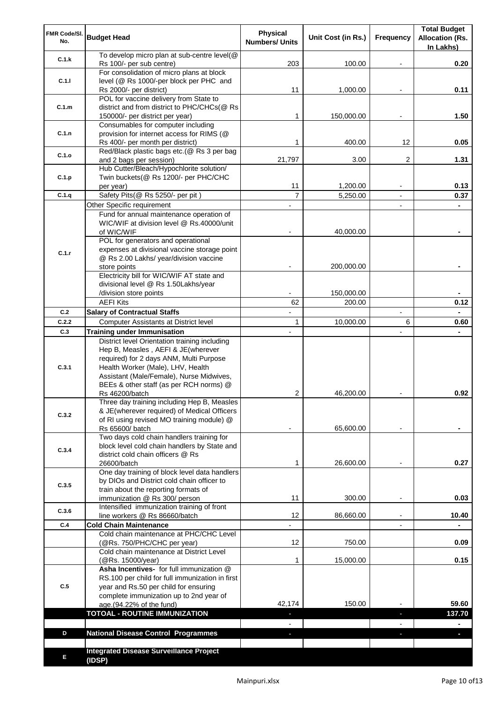| FMR Code/SI.<br>No. | <b>Budget Head</b>                                                                                                                                                                                                                                         | <b>Physical</b><br><b>Numbers/ Units</b> | Unit Cost (in Rs.)   | Frequency                | <b>Total Budget</b><br><b>Allocation (Rs.</b><br>In Lakhs) |
|---------------------|------------------------------------------------------------------------------------------------------------------------------------------------------------------------------------------------------------------------------------------------------------|------------------------------------------|----------------------|--------------------------|------------------------------------------------------------|
| C.1.k               | To develop micro plan at sub-centre level(@<br>Rs 100/- per sub centre)                                                                                                                                                                                    | 203                                      | 100.00               |                          | 0.20                                                       |
| C.1.1               | For consolidation of micro plans at block<br>level (@ Rs 1000/-per block per PHC and                                                                                                                                                                       |                                          |                      |                          |                                                            |
|                     | Rs 2000/- per district)<br>POL for vaccine delivery from State to                                                                                                                                                                                          | 11                                       | 1,000.00             |                          | 0.11                                                       |
| C.1.m               | district and from district to PHC/CHCs(@ Rs<br>150000/- per district per year)                                                                                                                                                                             | 1                                        | 150,000.00           |                          | 1.50                                                       |
|                     | Consumables for computer including                                                                                                                                                                                                                         |                                          |                      |                          |                                                            |
| C.1.n               | provision for internet access for RIMS (@<br>Rs 400/- per month per district)                                                                                                                                                                              | 1                                        | 400.00               | 12                       | 0.05                                                       |
| C.1.o               | Red/Black plastic bags etc.(@ Rs 3 per bag                                                                                                                                                                                                                 |                                          |                      |                          |                                                            |
|                     | and 2 bags per session)<br>Hub Cutter/Bleach/Hypochlorite solution/                                                                                                                                                                                        | 21,797                                   | 3.00                 | 2                        | 1.31                                                       |
| C.1.p               | Twin buckets(@ Rs 1200/- per PHC/CHC                                                                                                                                                                                                                       |                                          |                      |                          |                                                            |
|                     | per year)                                                                                                                                                                                                                                                  | 11                                       | 1,200.00             |                          | 0.13                                                       |
| C.1.q               | Safety Pits(@ Rs 5250/- per pit)                                                                                                                                                                                                                           | $\overline{7}$                           | 5,250.00             |                          | 0.37                                                       |
|                     | Other Specific requirement<br>Fund for annual maintenance operation of                                                                                                                                                                                     |                                          |                      | $\blacksquare$           |                                                            |
|                     | WIC/WIF at division level @ Rs.40000/unit                                                                                                                                                                                                                  |                                          |                      |                          |                                                            |
|                     | of WIC/WIF                                                                                                                                                                                                                                                 |                                          | 40,000.00            |                          |                                                            |
|                     | POL for generators and operational                                                                                                                                                                                                                         |                                          |                      |                          |                                                            |
| C.1.r               | expenses at divisional vaccine storage point<br>@ Rs 2.00 Lakhs/ year/division vaccine                                                                                                                                                                     |                                          |                      |                          |                                                            |
|                     | store points                                                                                                                                                                                                                                               |                                          | 200,000.00           |                          |                                                            |
|                     | Electricity bill for WIC/WIF AT state and                                                                                                                                                                                                                  |                                          |                      |                          |                                                            |
|                     | divisional level @ Rs 1.50Lakhs/year                                                                                                                                                                                                                       |                                          |                      |                          |                                                            |
|                     | /division store points<br><b>AEFI Kits</b>                                                                                                                                                                                                                 | 62                                       | 150,000.00<br>200.00 |                          | 0.12                                                       |
| C.2                 | <b>Salary of Contractual Staffs</b>                                                                                                                                                                                                                        |                                          |                      | $\overline{\phantom{a}}$ |                                                            |
| C.2.2               | Computer Assistants at District level                                                                                                                                                                                                                      | $\mathbf{1}$                             | 10,000.00            | 6                        | 0.60                                                       |
| C.3                 | <b>Training under Immunisation</b>                                                                                                                                                                                                                         | $\overline{a}$                           |                      | $\overline{a}$           |                                                            |
| C.3.1               | District level Orientation training including<br>Hep B, Measles, AEFI & JE(wherever<br>required) for 2 days ANM, Multi Purpose<br>Health Worker (Male), LHV, Health<br>Assistant (Male/Female), Nurse Midwives,<br>BEEs & other staff (as per RCH norms) @ |                                          |                      |                          |                                                            |
|                     | Rs 46200/batch                                                                                                                                                                                                                                             | 2                                        | 46,200.00            |                          | 0.92                                                       |
| C.3.2               | Three day training including Hep B, Measles<br>& JE(wherever required) of Medical Officers<br>of RI using revised MO training module) @<br>Rs 65600/ batch                                                                                                 |                                          | 65,600.00            |                          |                                                            |
|                     | Two days cold chain handlers training for                                                                                                                                                                                                                  |                                          |                      |                          |                                                            |
| C.3.4               | block level cold chain handlers by State and<br>district cold chain officers @ Rs<br>26600/batch                                                                                                                                                           | 1                                        | 26,600.00            |                          | 0.27                                                       |
|                     | One day training of block level data handlers                                                                                                                                                                                                              |                                          |                      |                          |                                                            |
| C.3.5               | by DIOs and District cold chain officer to                                                                                                                                                                                                                 |                                          |                      |                          |                                                            |
|                     | train about the reporting formats of<br>immunization @ Rs 300/ person                                                                                                                                                                                      | 11                                       | 300.00               | $\overline{\phantom{a}}$ | 0.03                                                       |
| C.3.6               | Intensified immunization training of front                                                                                                                                                                                                                 |                                          |                      |                          |                                                            |
|                     | line workers @ Rs 86660/batch                                                                                                                                                                                                                              | 12                                       | 86,660.00            | $\blacksquare$           | 10.40                                                      |
| C.4                 | <b>Cold Chain Maintenance</b><br>Cold chain maintenance at PHC/CHC Level                                                                                                                                                                                   |                                          |                      |                          |                                                            |
|                     | (@Rs. 750/PHC/CHC per year)                                                                                                                                                                                                                                | 12                                       | 750.00               |                          | 0.09                                                       |
|                     | Cold chain maintenance at District Level<br>(@Rs. 15000/year)                                                                                                                                                                                              | 1                                        | 15,000.00            |                          | 0.15                                                       |
| C.5                 | Asha Incentives- for full immunization @<br>RS.100 per child for full immunization in first<br>year and Rs.50 per child for ensuring<br>complete immunization up to 2nd year of                                                                            | 42,174                                   | 150.00               |                          | 59.60                                                      |
|                     | age.(94.22% of the fund)<br><b>TOTOAL - ROUTINE IMMUNIZATION</b>                                                                                                                                                                                           |                                          |                      |                          | 137.70                                                     |
|                     |                                                                                                                                                                                                                                                            |                                          |                      |                          |                                                            |
| D                   | <b>National Disease Control Programmes</b>                                                                                                                                                                                                                 |                                          |                      |                          |                                                            |
|                     |                                                                                                                                                                                                                                                            |                                          |                      |                          |                                                            |
| Е                   | <b>Integrated Disease Surveillance Project</b><br>(IDSP)                                                                                                                                                                                                   |                                          |                      |                          |                                                            |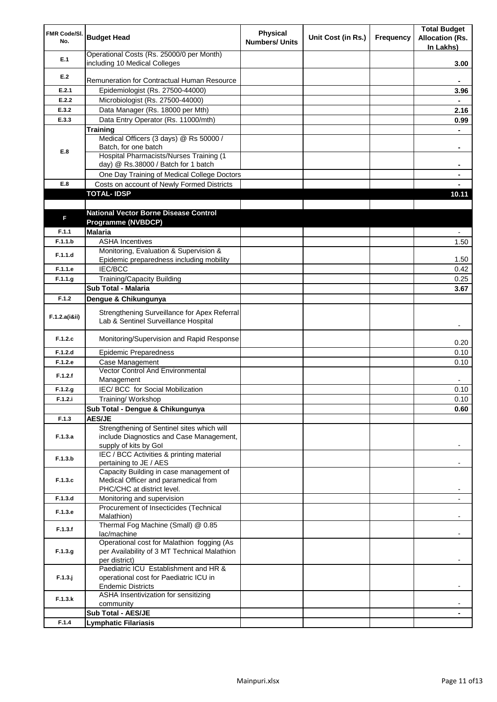| FMR Code/SI.<br>No. | <b>Budget Head</b>                                                                   | <b>Physical</b><br><b>Numbers/ Units</b> | Unit Cost (in Rs.) | Frequency | <b>Total Budget</b><br><b>Allocation (Rs.</b><br>In Lakhs) |
|---------------------|--------------------------------------------------------------------------------------|------------------------------------------|--------------------|-----------|------------------------------------------------------------|
| E.1                 | Operational Costs (Rs. 25000/0 per Month)<br>including 10 Medical Colleges           |                                          |                    |           | 3.00                                                       |
| E.2                 |                                                                                      |                                          |                    |           |                                                            |
|                     | Remuneration for Contractual Human Resource                                          |                                          |                    |           |                                                            |
| E.2.1               | Epidemiologist (Rs. 27500-44000)                                                     |                                          |                    |           | 3.96                                                       |
| E.2.2               | Microbiologist (Rs. 27500-44000)                                                     |                                          |                    |           |                                                            |
| E.3.2               | Data Manager (Rs. 18000 per Mth)                                                     |                                          |                    |           | 2.16                                                       |
| E.3.3               | Data Entry Operator (Rs. 11000/mth)                                                  |                                          |                    |           | 0.99                                                       |
|                     | <b>Training</b><br>Medical Officers (3 days) @ Rs 50000 /                            |                                          |                    |           |                                                            |
|                     | Batch, for one batch                                                                 |                                          |                    |           | ۰                                                          |
| E.8                 | Hospital Pharmacists/Nurses Training (1                                              |                                          |                    |           |                                                            |
|                     | day) @ Rs.38000 / Batch for 1 batch                                                  |                                          |                    |           |                                                            |
|                     | One Day Training of Medical College Doctors                                          |                                          |                    |           |                                                            |
| E.8                 | Costs on account of Newly Formed Districts                                           |                                          |                    |           |                                                            |
|                     | <b>TOTAL-IDSP</b>                                                                    |                                          |                    |           | 10.11                                                      |
|                     |                                                                                      |                                          |                    |           |                                                            |
| F                   | <b>National Vector Borne Disease Control</b>                                         |                                          |                    |           |                                                            |
|                     | Programme (NVBDCP)                                                                   |                                          |                    |           |                                                            |
| F.1.1               | <b>Malaria</b>                                                                       |                                          |                    |           |                                                            |
| F.1.1.b             | <b>ASHA Incentives</b>                                                               |                                          |                    |           | 1.50                                                       |
| F.1.1.d             | Monitoring, Evaluation & Supervision &<br>Epidemic preparedness including mobility   |                                          |                    |           | 1.50                                                       |
| F.1.1.e             | <b>IEC/BCC</b>                                                                       |                                          |                    |           | 0.42                                                       |
| F.1.1.g             | <b>Training/Capacity Building</b>                                                    |                                          |                    |           | 0.25                                                       |
|                     | Sub Total - Malaria                                                                  |                                          |                    |           | 3.67                                                       |
| F.1.2               | Dengue & Chikungunya                                                                 |                                          |                    |           |                                                            |
|                     |                                                                                      |                                          |                    |           |                                                            |
| F.1.2.a(iⅈ)         | Strengthening Surveillance for Apex Referral<br>Lab & Sentinel Surveillance Hospital |                                          |                    |           |                                                            |
| F.1.2.c             | Monitoring/Supervision and Rapid Response                                            |                                          |                    |           | 0.20                                                       |
| F.1.2.d             | <b>Epidemic Preparedness</b>                                                         |                                          |                    |           | 0.10                                                       |
| F.1.2.e             | Case Management                                                                      |                                          |                    |           | 0.10                                                       |
| F.1.2.f             | <b>Vector Control And Environmental</b><br>Management                                |                                          |                    |           |                                                            |
| F.1.2.g             | IEC/ BCC for Social Mobilization                                                     |                                          |                    |           | 0.10                                                       |
| F.1.2.i             | Training/Workshop                                                                    |                                          |                    |           | 0.10                                                       |
|                     | Sub Total - Dengue & Chikungunya                                                     |                                          |                    |           | 0.60                                                       |
| F.1.3               | <b>AES/JE</b>                                                                        |                                          |                    |           |                                                            |
|                     | Strengthening of Sentinel sites which will                                           |                                          |                    |           |                                                            |
| F.1.3.a             | include Diagnostics and Case Management,                                             |                                          |                    |           |                                                            |
|                     | supply of kits by Gol                                                                |                                          |                    |           |                                                            |
| F.1.3.b             | IEC / BCC Activities & printing material                                             |                                          |                    |           |                                                            |
|                     | pertaining to JE / AES<br>Capacity Building in case management of                    |                                          |                    |           |                                                            |
| F.1.3.c             | Medical Officer and paramedical from                                                 |                                          |                    |           |                                                            |
|                     | PHC/CHC at district level.                                                           |                                          |                    |           |                                                            |
| F.1.3.d             | Monitoring and supervision                                                           |                                          |                    |           |                                                            |
| F.1.3.e             | Procurement of Insecticides (Technical                                               |                                          |                    |           |                                                            |
|                     | Malathion)                                                                           |                                          |                    |           |                                                            |
| F.1.3.f             | Thermal Fog Machine (Small) @ 0.85                                                   |                                          |                    |           |                                                            |
|                     | lac/machine<br>Operational cost for Malathion fogging (As                            |                                          |                    |           |                                                            |
| F.1.3.g             | per Availability of 3 MT Technical Malathion                                         |                                          |                    |           |                                                            |
|                     | per district)                                                                        |                                          |                    |           |                                                            |
|                     | Paediatric ICU Establishment and HR &                                                |                                          |                    |           |                                                            |
| $F.1.3.$ j          | operational cost for Paediatric ICU in                                               |                                          |                    |           |                                                            |
|                     | <b>Endemic Districts</b>                                                             |                                          |                    |           |                                                            |
| F.1.3.k             | ASHA Insentivization for sensitizing                                                 |                                          |                    |           |                                                            |
|                     | community<br>Sub Total - AES/JE                                                      |                                          |                    |           |                                                            |
| F.1.4               | <b>Lymphatic Filariasis</b>                                                          |                                          |                    |           |                                                            |
|                     |                                                                                      |                                          |                    |           |                                                            |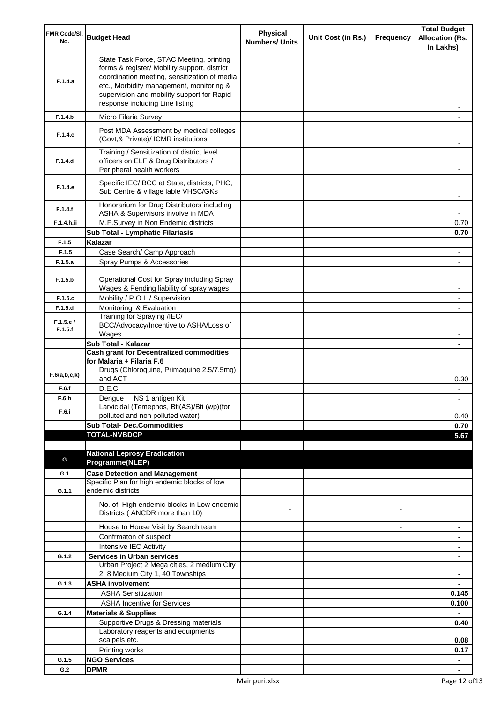| FMR Code/SI.<br>No. | <b>Budget Head</b>                                                                                                                                                                                                                                                    | <b>Physical</b><br><b>Numbers/ Units</b> | Unit Cost (in Rs.) | Frequency      | <b>Total Budget</b><br><b>Allocation (Rs.</b><br>In Lakhs) |
|---------------------|-----------------------------------------------------------------------------------------------------------------------------------------------------------------------------------------------------------------------------------------------------------------------|------------------------------------------|--------------------|----------------|------------------------------------------------------------|
| F.1.4.a             | State Task Force, STAC Meeting, printing<br>forms & register/ Mobility support, district<br>coordination meeting, sensitization of media<br>etc., Morbidity management, monitoring &<br>supervision and mobility support for Rapid<br>response including Line listing |                                          |                    |                |                                                            |
| F.1.4.b             | Micro Filaria Survey                                                                                                                                                                                                                                                  |                                          |                    |                |                                                            |
| F.1.4.c             | Post MDA Assessment by medical colleges<br>(Govt, & Private)/ ICMR institutions                                                                                                                                                                                       |                                          |                    |                |                                                            |
| F.1.4.d             | Training / Sensitization of district level<br>officers on ELF & Drug Distributors /<br>Peripheral health workers                                                                                                                                                      |                                          |                    |                |                                                            |
| F.1.4.e             | Specific IEC/ BCC at State, districts, PHC,<br>Sub Centre & village lable VHSC/GKs                                                                                                                                                                                    |                                          |                    |                |                                                            |
| F.1.4.f             | Honorarium for Drug Distributors including<br>ASHA & Supervisors involve in MDA                                                                                                                                                                                       |                                          |                    |                |                                                            |
| F.1.4.h.ii          | M.F.Survey in Non Endemic districts                                                                                                                                                                                                                                   |                                          |                    |                | 0.70                                                       |
| F.1.5               | Sub Total - Lymphatic Filariasis<br>Kalazar                                                                                                                                                                                                                           |                                          |                    |                | 0.70                                                       |
| F.1.5               | Case Search/ Camp Approach                                                                                                                                                                                                                                            |                                          |                    |                |                                                            |
| F.1.5.a             | Spray Pumps & Accessories                                                                                                                                                                                                                                             |                                          |                    |                |                                                            |
| F.1.5.b             | Operational Cost for Spray including Spray<br>Wages & Pending liability of spray wages                                                                                                                                                                                |                                          |                    |                |                                                            |
| F.1.5.c             | Mobility / P.O.L./ Supervision                                                                                                                                                                                                                                        |                                          |                    |                |                                                            |
| F.1.5.d             | Monitoring & Evaluation                                                                                                                                                                                                                                               |                                          |                    |                |                                                            |
| F.1.5.e/<br>F.1.5.f | Training for Spraying /IEC/<br>BCC/Advocacy/Incentive to ASHA/Loss of<br>Wages                                                                                                                                                                                        |                                          |                    |                |                                                            |
|                     | Sub Total - Kalazar                                                                                                                                                                                                                                                   |                                          |                    |                |                                                            |
|                     | <b>Cash grant for Decentralized commodities</b>                                                                                                                                                                                                                       |                                          |                    |                |                                                            |
| F.6(a,b,c,k)        | for Malaria + Filaria F.6<br>Drugs (Chloroquine, Primaquine 2.5/7.5mg)<br>and ACT                                                                                                                                                                                     |                                          |                    |                | 0.30                                                       |
| F.6.f               | D.E.C.                                                                                                                                                                                                                                                                |                                          |                    |                |                                                            |
| F.6.h               | Dengue NS 1 antigen Kit                                                                                                                                                                                                                                               |                                          |                    |                |                                                            |
| F.6.i               | Larvicidal (Temephos, Bti(AS)/Bti (wp)(for                                                                                                                                                                                                                            |                                          |                    |                |                                                            |
|                     | polluted and non polluted water)<br><b>Sub Total- Dec.Commodities</b>                                                                                                                                                                                                 |                                          |                    |                | 0.40<br>0.70                                               |
|                     | <b>TOTAL-NVBDCP</b>                                                                                                                                                                                                                                                   |                                          |                    |                | 5.67                                                       |
|                     |                                                                                                                                                                                                                                                                       |                                          |                    |                |                                                            |
|                     | <b>National Leprosy Eradication</b>                                                                                                                                                                                                                                   |                                          |                    |                |                                                            |
| G                   | Programme(NLEP)                                                                                                                                                                                                                                                       |                                          |                    |                |                                                            |
| G.1                 | <b>Case Detection and Management</b>                                                                                                                                                                                                                                  |                                          |                    |                |                                                            |
| G.1.1               | Specific Plan for high endemic blocks of low<br>endemic districts                                                                                                                                                                                                     |                                          |                    |                |                                                            |
|                     | No. of High endemic blocks in Low endemic<br>Districts (ANCDR more than 10)                                                                                                                                                                                           |                                          |                    |                |                                                            |
|                     | House to House Visit by Search team                                                                                                                                                                                                                                   |                                          |                    | $\blacksquare$ | ۰                                                          |
|                     | Confrmaton of suspect                                                                                                                                                                                                                                                 |                                          |                    |                | ۰                                                          |
|                     | Intensive IEC Activity                                                                                                                                                                                                                                                |                                          |                    |                | ٠                                                          |
| G.1.2               | <b>Services in Urban services</b>                                                                                                                                                                                                                                     |                                          |                    |                | ٠                                                          |
|                     | Urban Project 2 Mega cities, 2 medium City<br>2, 8 Medium City 1, 40 Townships                                                                                                                                                                                        |                                          |                    |                |                                                            |
| G.1.3               | <b>ASHA involvement</b>                                                                                                                                                                                                                                               |                                          |                    |                |                                                            |
|                     | <b>ASHA Sensitization</b>                                                                                                                                                                                                                                             |                                          |                    |                | 0.145                                                      |
|                     | <b>ASHA Incentive for Services</b>                                                                                                                                                                                                                                    |                                          |                    |                | 0.100                                                      |
| G.1.4               | <b>Materials &amp; Supplies</b>                                                                                                                                                                                                                                       |                                          |                    |                |                                                            |
|                     | Supportive Drugs & Dressing materials<br>Laboratory reagents and equipments                                                                                                                                                                                           |                                          |                    |                | 0.40                                                       |
|                     | scalpels etc.                                                                                                                                                                                                                                                         |                                          |                    |                | 0.08                                                       |
|                     | Printing works                                                                                                                                                                                                                                                        |                                          |                    |                | 0.17                                                       |
| G.1.5               | <b>NGO Services</b>                                                                                                                                                                                                                                                   |                                          |                    |                | $\blacksquare$                                             |
| G.2                 | <b>DPMR</b>                                                                                                                                                                                                                                                           |                                          |                    |                |                                                            |